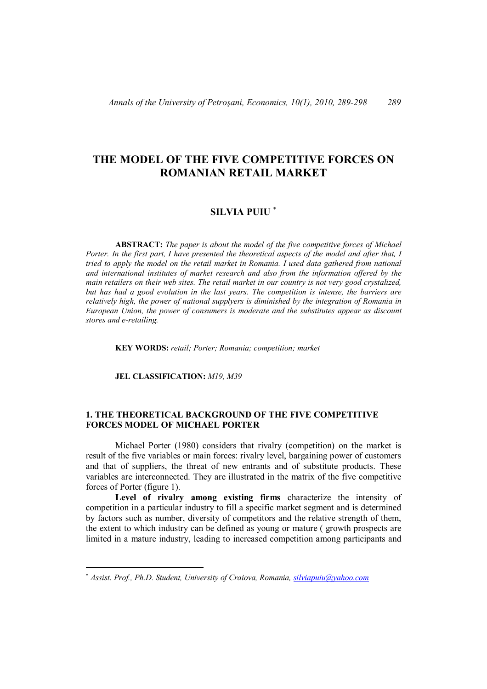# **THE MODEL OF THE FIVE COMPETITIVE FORCES ON ROMANIAN RETAIL MARKET**

# **SILVIA PUIU**

**ABSTRACT:** *The paper is about the model of the five competitive forces of Michael Porter. In the first part, I have presented the theoretical aspects of the model and after that, I tried to apply the model on the retail market in Romania. I used data gathered from national and international institutes of market research and also from the information offered by the main retailers on their web sites. The retail market in our country is not very good crystalized, but has had a good evolution in the last years. The competition is intense, the barriers are relatively high, the power of national supplyers is diminished by the integration of Romania in European Union, the power of consumers is moderate and the substitutes appear as discount stores and e-retailing.*

**KEY WORDS:** *retail; Porter; Romania; competition; market*

**JEL CLASSIFICATION:** *M19, M39*

 $\overline{a}$ 

# **1. THE THEORETICAL BACKGROUND OF THE FIVE COMPETITIVE FORCES MODEL OF MICHAEL PORTER**

Michael Porter (1980) considers that rivalry (competition) on the market is result of the five variables or main forces: rivalry level, bargaining power of customers and that of suppliers, the threat of new entrants and of substitute products. These variables are interconnected. They are illustrated in the matrix of the five competitive forces of Porter (figure 1).

**Level of rivalry among existing firms** characterize the intensity of competition in a particular industry to fill a specific market segment and is determined by factors such as number, diversity of competitors and the relative strength of them, the extent to which industry can be defined as young or mature ( growth prospects are limited in a mature industry, leading to increased competition among participants and

*Assist. Prof., Ph.D. Student, University of Craiova, Romania, silviapuiu@yahoo.com*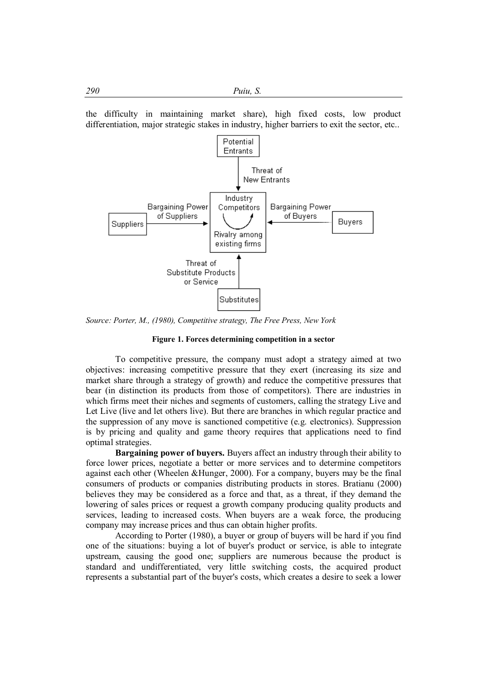the difficulty in maintaining market share), high fixed costs, low product differentiation, major strategic stakes in industry, higher barriers to exit the sector, etc...



*Source: Porter, M., (1980), Competitive strategy, The Free Press, New York*

## **Figure 1. Forces determining competition in a sector**

To competitive pressure, the company must adopt a strategy aimed at two objectives: increasing competitive pressure that they exert (increasing its size and market share through a strategy of growth) and reduce the competitive pressures that bear (in distinction its products from those of competitors). There are industries in which firms meet their niches and segments of customers, calling the strategy Live and Let Live (live and let others live). But there are branches in which regular practice and the suppression of any move is sanctioned competitive (e.g. electronics). Suppression is by pricing and quality and game theory requires that applications need to find optimal strategies.

**Bargaining power of buyers.** Buyers affect an industry through their ability to force lower prices, negotiate a better or more services and to determine competitors against each other (Wheelen &Hunger, 2000). For a company, buyers may be the final consumers of products or companies distributing products in stores. Bratianu (2000) believes they may be considered as a force and that, as a threat, if they demand the lowering of sales prices or request a growth company producing quality products and services, leading to increased costs. When buyers are a weak force, the producing company may increase prices and thus can obtain higher profits.

According to Porter (1980), a buyer or group of buyers will be hard if you find one of the situations: buying a lot of buyer's product or service, is able to integrate upstream, causing the good one; suppliers are numerous because the product is standard and undifferentiated, very little switching costs, the acquired product represents a substantial part of the buyer's costs, which creates a desire to seek a lower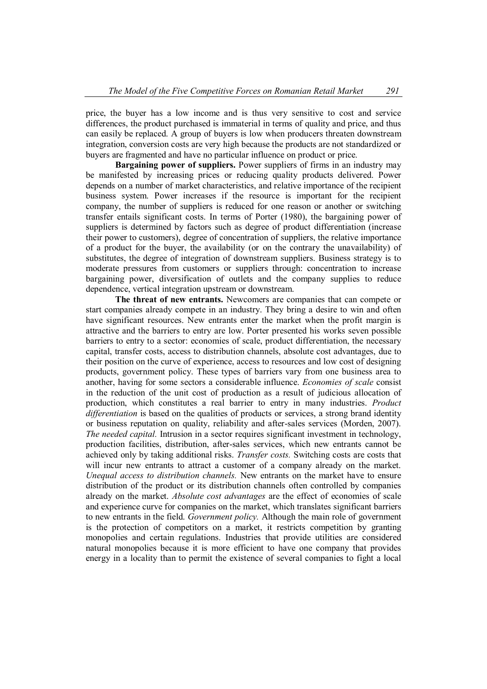price, the buyer has a low income and is thus very sensitive to cost and service differences, the product purchased is immaterial in terms of quality and price, and thus can easily be replaced. A group of buyers is low when producers threaten downstream integration, conversion costs are very high because the products are not standardized or buyers are fragmented and have no particular influence on product or price.

**Bargaining power of suppliers.** Power suppliers of firms in an industry may be manifested by increasing prices or reducing quality products delivered. Power depends on a number of market characteristics, and relative importance of the recipient business system. Power increases if the resource is important for the recipient company, the number of suppliers is reduced for one reason or another or switching transfer entails significant costs. In terms of Porter (1980), the bargaining power of suppliers is determined by factors such as degree of product differentiation (increase their power to customers), degree of concentration of suppliers, the relative importance of a product for the buyer, the availability (or on the contrary the unavailability) of substitutes, the degree of integration of downstream suppliers. Business strategy is to moderate pressures from customers or suppliers through: concentration to increase bargaining power, diversification of outlets and the company supplies to reduce dependence, vertical integration upstream or downstream.

**The threat of new entrants.** Newcomers are companies that can compete or start companies already compete in an industry. They bring a desire to win and often have significant resources. New entrants enter the market when the profit margin is attractive and the barriers to entry are low. Porter presented his works seven possible barriers to entry to a sector: economies of scale, product differentiation, the necessary capital, transfer costs, access to distribution channels, absolute cost advantages, due to their position on the curve of experience, access to resources and low cost of designing products, government policy. These types of barriers vary from one business area to another, having for some sectors a considerable influence. *Economies of scale* consist in the reduction of the unit cost of production as a result of judicious allocation of production, which constitutes a real barrier to entry in many industries. *Product differentiation* is based on the qualities of products or services, a strong brand identity or business reputation on quality, reliability and after-sales services (Morden, 2007). *The needed capital.* Intrusion in a sector requires significant investment in technology, production facilities, distribution, after-sales services, which new entrants cannot be achieved only by taking additional risks. *Transfer costs.* Switching costs are costs that will incur new entrants to attract a customer of a company already on the market. *Unequal access to distribution channels.* New entrants on the market have to ensure distribution of the product or its distribution channels often controlled by companies already on the market. *Absolute cost advantages* are the effect of economies of scale and experience curve for companies on the market, which translates significant barriers to new entrants in the field. *Government policy.* Although the main role of government is the protection of competitors on a market, it restricts competition by granting monopolies and certain regulations. Industries that provide utilities are considered natural monopolies because it is more efficient to have one company that provides energy in a locality than to permit the existence of several companies to fight a local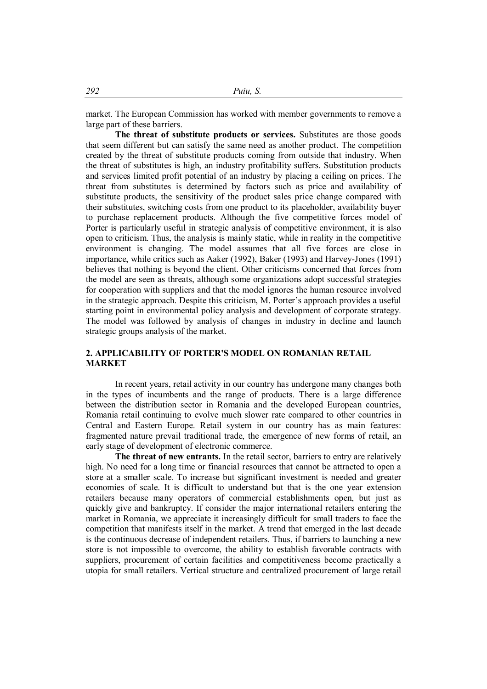market. The European Commission has worked with member governments to remove a large part of these barriers.

**The threat of substitute products or services.** Substitutes are those goods that seem different but can satisfy the same need as another product. The competition created by the threat of substitute products coming from outside that industry. When the threat of substitutes is high, an industry profitability suffers. Substitution products and services limited profit potential of an industry by placing a ceiling on prices. The threat from substitutes is determined by factors such as price and availability of substitute products, the sensitivity of the product sales price change compared with their substitutes, switching costs from one product to its placeholder, availability buyer to purchase replacement products. Although the five competitive forces model of Porter is particularly useful in strategic analysis of competitive environment, it is also open to criticism. Thus, the analysis is mainly static, while in reality in the competitive environment is changing. The model assumes that all five forces are close in importance, while critics such as Aaker (1992), Baker (1993) and Harvey-Jones (1991) believes that nothing is beyond the client. Other criticisms concerned that forces from the model are seen as threats, although some organizations adopt successful strategies for cooperation with suppliers and that the model ignores the human resource involved in the strategic approach. Despite this criticism, M. Porter's approach provides a useful starting point in environmental policy analysis and development of corporate strategy. The model was followed by analysis of changes in industry in decline and launch strategic groups analysis of the market.

## **2. APPLICABILITY OF PORTER'S MODEL ON ROMANIAN RETAIL MARKET**

In recent years, retail activity in our country has undergone many changes both in the types of incumbents and the range of products. There is a large difference between the distribution sector in Romania and the developed European countries, Romania retail continuing to evolve much slower rate compared to other countries in Central and Eastern Europe. Retail system in our country has as main features: fragmented nature prevail traditional trade, the emergence of new forms of retail, an early stage of development of electronic commerce.

**The threat of new entrants.** In the retail sector, barriers to entry are relatively high. No need for a long time or financial resources that cannot be attracted to open a store at a smaller scale. To increase but significant investment is needed and greater economies of scale. It is difficult to understand but that is the one year extension retailers because many operators of commercial establishments open, but just as quickly give and bankruptcy. If consider the major international retailers entering the market in Romania, we appreciate it increasingly difficult for small traders to face the competition that manifests itself in the market. A trend that emerged in the last decade is the continuous decrease of independent retailers. Thus, if barriers to launching a new store is not impossible to overcome, the ability to establish favorable contracts with suppliers, procurement of certain facilities and competitiveness become practically a utopia for small retailers. Vertical structure and centralized procurement of large retail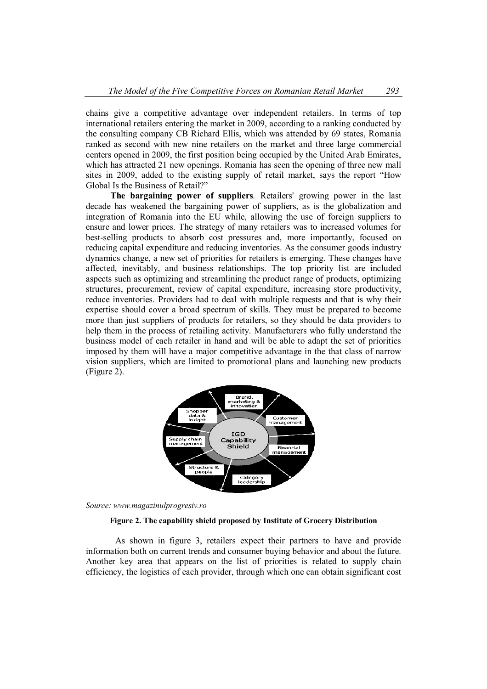chains give a competitive advantage over independent retailers. In terms of top international retailers entering the market in 2009, according to a ranking conducted by the consulting company CB Richard Ellis, which was attended by 69 states, Romania ranked as second with new nine retailers on the market and three large commercial centers opened in 2009, the first position being occupied by the United Arab Emirates, which has attracted 21 new openings. Romania has seen the opening of three new mall sites in 2009, added to the existing supply of retail market, says the report "How Global Is the Business of Retail?"

**The bargaining power of suppliers***.* Retailers' growing power in the last decade has weakened the bargaining power of suppliers, as is the globalization and integration of Romania into the EU while, allowing the use of foreign suppliers to ensure and lower prices. The strategy of many retailers was to increased volumes for best-selling products to absorb cost pressures and, more importantly, focused on reducing capital expenditure and reducing inventories. As the consumer goods industry dynamics change, a new set of priorities for retailers is emerging. These changes have affected, inevitably, and business relationships. The top priority list are included aspects such as optimizing and streamlining the product range of products, optimizing structures, procurement, review of capital expenditure, increasing store productivity, reduce inventories. Providers had to deal with multiple requests and that is why their expertise should cover a broad spectrum of skills. They must be prepared to become more than just suppliers of products for retailers, so they should be data providers to help them in the process of retailing activity. Manufacturers who fully understand the business model of each retailer in hand and will be able to adapt the set of priorities imposed by them will have a major competitive advantage in the that class of narrow vision suppliers, which are limited to promotional plans and launching new products (Figure 2).



*Source: www.magazinulprogresiv.ro*

#### **Figure 2. The capability shield proposed by Institute of Grocery Distribution**

As shown in figure 3, retailers expect their partners to have and provide information both on current trends and consumer buying behavior and about the future. Another key area that appears on the list of priorities is related to supply chain efficiency, the logistics of each provider, through which one can obtain significant cost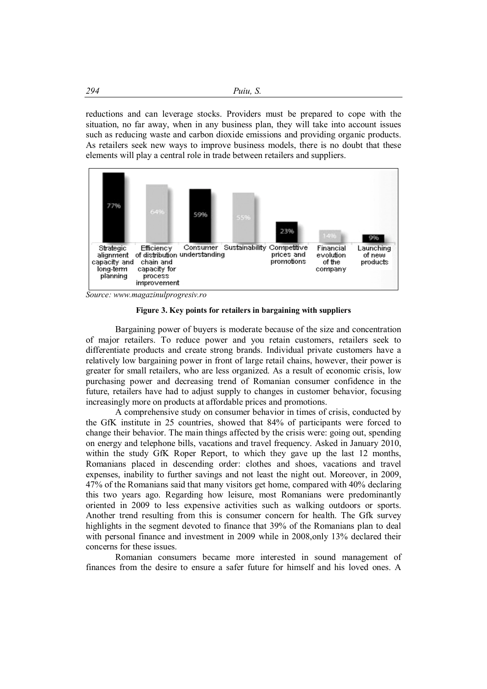reductions and can leverage stocks. Providers must be prepared to cope with the situation, no far away, when in any business plan, they will take into account issues such as reducing waste and carbon dioxide emissions and providing organic products. As retailers seek new ways to improve business models, there is no doubt that these elements will play a central role in trade between retailers and suppliers.



*Source: www.magazinulprogresiv.ro*

**Figure 3. Key points for retailers in bargaining with suppliers**

Bargaining power of buyers is moderate because of the size and concentration of major retailers. To reduce power and you retain customers, retailers seek to differentiate products and create strong brands. Individual private customers have a relatively low bargaining power in front of large retail chains, however, their power is greater for small retailers, who are less organized. As a result of economic crisis, low purchasing power and decreasing trend of Romanian consumer confidence in the future, retailers have had to adjust supply to changes in customer behavior, focusing increasingly more on products at affordable prices and promotions.

A comprehensive study on consumer behavior in times of crisis, conducted by the GfK institute in 25 countries, showed that 84% of participants were forced to change their behavior. The main things affected by the crisis were: going out, spending on energy and telephone bills, vacations and travel frequency. Asked in January 2010, within the study GfK Roper Report, to which they gave up the last 12 months, Romanians placed in descending order: clothes and shoes, vacations and travel expenses, inability to further savings and not least the night out. Moreover, in 2009, 47% of the Romanians said that many visitors get home, compared with 40% declaring this two years ago. Regarding how leisure, most Romanians were predominantly oriented in 2009 to less expensive activities such as walking outdoors or sports. Another trend resulting from this is consumer concern for health. The Gfk survey highlights in the segment devoted to finance that 39% of the Romanians plan to deal with personal finance and investment in 2009 while in 2008,only 13% declared their concerns for these issues.

Romanian consumers became more interested in sound management of finances from the desire to ensure a safer future for himself and his loved ones. A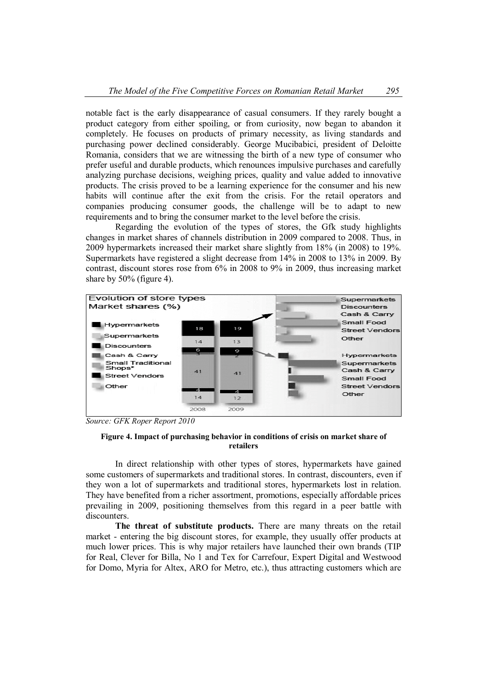notable fact is the early disappearance of casual consumers. If they rarely bought a product category from either spoiling, or from curiosity, now began to abandon it completely. He focuses on products of primary necessity, as living standards and purchasing power declined considerably. George Mucibabici, president of Deloitte Romania, considers that we are witnessing the birth of a new type of consumer who prefer useful and durable products, which renounces impulsive purchases and carefully analyzing purchase decisions, weighing prices, quality and value added to innovative products. The crisis proved to be a learning experience for the consumer and his new habits will continue after the exit from the crisis. For the retail operators and companies producing consumer goods, the challenge will be to adapt to new requirements and to bring the consumer market to the level before the crisis.

Regarding the evolution of the types of stores, the Gfk study highlights changes in market shares of channels distribution in 2009 compared to 2008. Thus, in 2009 hypermarkets increased their market share slightly from 18% (in 2008) to 19%. Supermarkets have registered a slight decrease from 14% in 2008 to 13% in 2009. By contrast, discount stores rose from 6% in 2008 to 9% in 2009, thus increasing market share by 50% (figure 4).



*Source: GFK Roper Report 2010*

## **Figure 4. Impact of purchasing behavior in conditions of crisis on market share of retailers**

In direct relationship with other types of stores, hypermarkets have gained some customers of supermarkets and traditional stores. In contrast, discounters, even if they won a lot of supermarkets and traditional stores, hypermarkets lost in relation. They have benefited from a richer assortment, promotions, especially affordable prices prevailing in 2009, positioning themselves from this regard in a peer battle with discounters.

**The threat of substitute products.** There are many threats on the retail market - entering the big discount stores, for example, they usually offer products at much lower prices. This is why major retailers have launched their own brands (TIP for Real, Clever for Billa, No 1 and Tex for Carrefour, Expert Digital and Westwood for Domo, Myria for Altex, ARO for Metro, etc.), thus attracting customers which are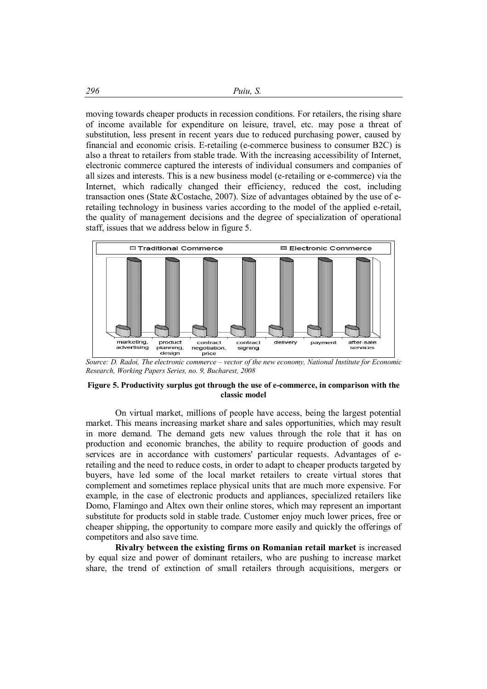moving towards cheaper products in recession conditions. For retailers, the rising share of income available for expenditure on leisure, travel, etc. may pose a threat of substitution, less present in recent years due to reduced purchasing power, caused by financial and economic crisis. E-retailing (e-commerce business to consumer B2C) is also a threat to retailers from stable trade. With the increasing accessibility of Internet, electronic commerce captured the interests of individual consumers and companies of all sizes and interests. This is a new business model (e-retailing or e-commerce) via the Internet, which radically changed their efficiency, reduced the cost, including transaction ones (State &Costache, 2007). Size of advantages obtained by the use of eretailing technology in business varies according to the model of the applied e-retail, the quality of management decisions and the degree of specialization of operational staff, issues that we address below in figure 5.



*Source: D. Radoi, The electronic commerce – vector of the new economy, National Institute for Economic Research, Working Papers Series, no. 9, Bucharest, 2008*

#### **Figure 5. Productivity surplus got through the use of e-commerce, in comparison with the classic model**

On virtual market, millions of people have access, being the largest potential market. This means increasing market share and sales opportunities, which may result in more demand. The demand gets new values through the role that it has on production and economic branches, the ability to require production of goods and services are in accordance with customers' particular requests. Advantages of eretailing and the need to reduce costs, in order to adapt to cheaper products targeted by buyers, have led some of the local market retailers to create virtual stores that complement and sometimes replace physical units that are much more expensive. For example, in the case of electronic products and appliances, specialized retailers like Domo, Flamingo and Altex own their online stores, which may represent an important substitute for products sold in stable trade. Customer enjoy much lower prices, free or cheaper shipping, the opportunity to compare more easily and quickly the offerings of competitors and also save time.

**Rivalry between the existing firms on Romanian retail market** is increased by equal size and power of dominant retailers, who are pushing to increase market share, the trend of extinction of small retailers through acquisitions, mergers or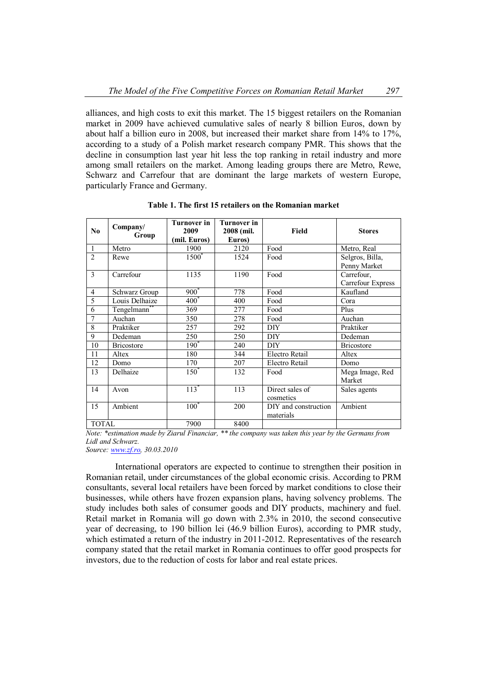alliances, and high costs to exit this market. The 15 biggest retailers on the Romanian market in 2009 have achieved cumulative sales of nearly 8 billion Euros, down by about half a billion euro in 2008, but increased their market share from 14% to 17%, according to a study of a Polish market research company PMR. This shows that the decline in consumption last year hit less the top ranking in retail industry and more among small retailers on the market. Among leading groups there are Metro, Rewe, Schwarz and Carrefour that are dominant the large markets of western Europe, particularly France and Germany.

| N <sub>0</sub> | Company/<br>Group       | <b>Turnover in</b><br>2009<br>(mil. Euros) | Turnover in<br>2008 (mil.<br>Euros) | Field                             | <b>Stores</b>                   |
|----------------|-------------------------|--------------------------------------------|-------------------------------------|-----------------------------------|---------------------------------|
| 1              | Metro                   | 1900                                       | 2120                                | Food                              | Metro, Real                     |
| $\overline{2}$ | Rewe                    | $1500^{\degree}$                           | 1524                                | Food                              | Selgros, Billa,<br>Penny Market |
| 3              | Carrefour               | 1135                                       | 1190                                | Food                              | Carrefour,<br>Carrefour Express |
| $\overline{4}$ | Schwarz Group           | $900*$                                     | 778                                 | Food                              | Kaufland                        |
| 5              | Louis Delhaize          | $400^*$                                    | 400                                 | Food                              | Cora                            |
| 6              | Tengelmann <sup>®</sup> | 369                                        | 277                                 | Food                              | Plus                            |
| 7              | Auchan                  | 350                                        | 278                                 | Food                              | Auchan                          |
| 8              | Praktiker               | 257                                        | 292                                 | DIY                               | Praktiker                       |
| 9              | Dedeman                 | 250                                        | 250                                 | <b>DIY</b>                        | Dedeman                         |
| 10             | <b>Bricostore</b>       | $190^{\degree}$                            | 240                                 | <b>DIY</b>                        | <b>Bricostore</b>               |
| 11             | Altex                   | 180                                        | 344                                 | Electro Retail                    | Altex                           |
| 12             | Domo                    | 170                                        | 207                                 | Electro Retail                    | Domo                            |
| 13             | Delhaize                | $150^*$                                    | 132                                 | Food                              | Mega Image, Red<br>Market       |
| 14             | Avon                    | $113*$                                     | 113                                 | Direct sales of<br>cosmetics      | Sales agents                    |
| 15             | Ambient                 | $100^*$                                    | 200                                 | DIY and construction<br>materials | Ambient                         |
| <b>TOTAL</b>   |                         | 7900                                       | 8400                                |                                   |                                 |

**Table 1. The first 15 retailers on the Romanian market**

*Note: \*estimation made by Ziarul Financiar, \*\* the company was taken this year by the Germans from Lidl and Schwarz.*

*Source: www.zf.ro, 30.03.2010*

International operators are expected to continue to strengthen their position in Romanian retail, under circumstances of the global economic crisis. According to PRM consultants, several local retailers have been forced by market conditions to close their businesses, while others have frozen expansion plans, having solvency problems. The study includes both sales of consumer goods and DIY products, machinery and fuel. Retail market in Romania will go down with 2.3% in 2010, the second consecutive year of decreasing, to 190 billion lei (46.9 billion Euros), according to PMR study, which estimated a return of the industry in 2011-2012. Representatives of the research company stated that the retail market in Romania continues to offer good prospects for investors, due to the reduction of costs for labor and real estate prices.